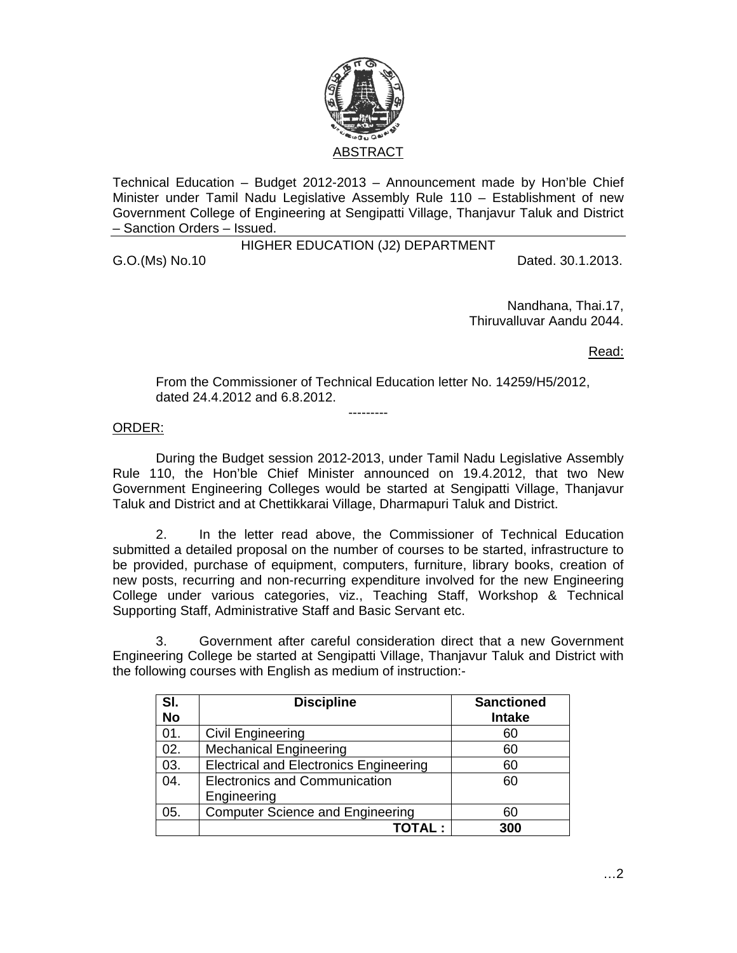

Technical Education – Budget 2012-2013 – Announcement made by Hon'ble Chief Minister under Tamil Nadu Legislative Assembly Rule 110 – Establishment of new Government College of Engineering at Sengipatti Village, Thanjavur Taluk and District – Sanction Orders – Issued.

HIGHER EDUCATION (J2) DEPARTMENT

G.O.(Ms) No.10 Dated. 30.1.2013.

Nandhana, Thai.17, Thiruvalluvar Aandu 2044.

Read:

From the Commissioner of Technical Education letter No. 14259/H5/2012, dated 24.4.2012 and 6.8.2012.

---------

## ORDER:

 During the Budget session 2012-2013, under Tamil Nadu Legislative Assembly Rule 110, the Hon'ble Chief Minister announced on 19.4.2012, that two New Government Engineering Colleges would be started at Sengipatti Village, Thanjavur Taluk and District and at Chettikkarai Village, Dharmapuri Taluk and District.

 2. In the letter read above, the Commissioner of Technical Education submitted a detailed proposal on the number of courses to be started, infrastructure to be provided, purchase of equipment, computers, furniture, library books, creation of new posts, recurring and non-recurring expenditure involved for the new Engineering College under various categories, viz., Teaching Staff, Workshop & Technical Supporting Staff, Administrative Staff and Basic Servant etc.

3. Government after careful consideration direct that a new Government Engineering College be started at Sengipatti Village, Thanjavur Taluk and District with the following courses with English as medium of instruction:-

| SI.<br><b>No</b> | <b>Discipline</b>                             | <b>Sanctioned</b><br><b>Intake</b> |
|------------------|-----------------------------------------------|------------------------------------|
| 01.              | Civil Engineering                             | 60                                 |
| 02.              | <b>Mechanical Engineering</b>                 | 60                                 |
| 03.              | <b>Electrical and Electronics Engineering</b> | 60                                 |
| 04.              | <b>Electronics and Communication</b>          | 60                                 |
|                  | Engineering                                   |                                    |
| 05.              | <b>Computer Science and Engineering</b>       | 60                                 |
|                  | TOTAL :                                       | 300                                |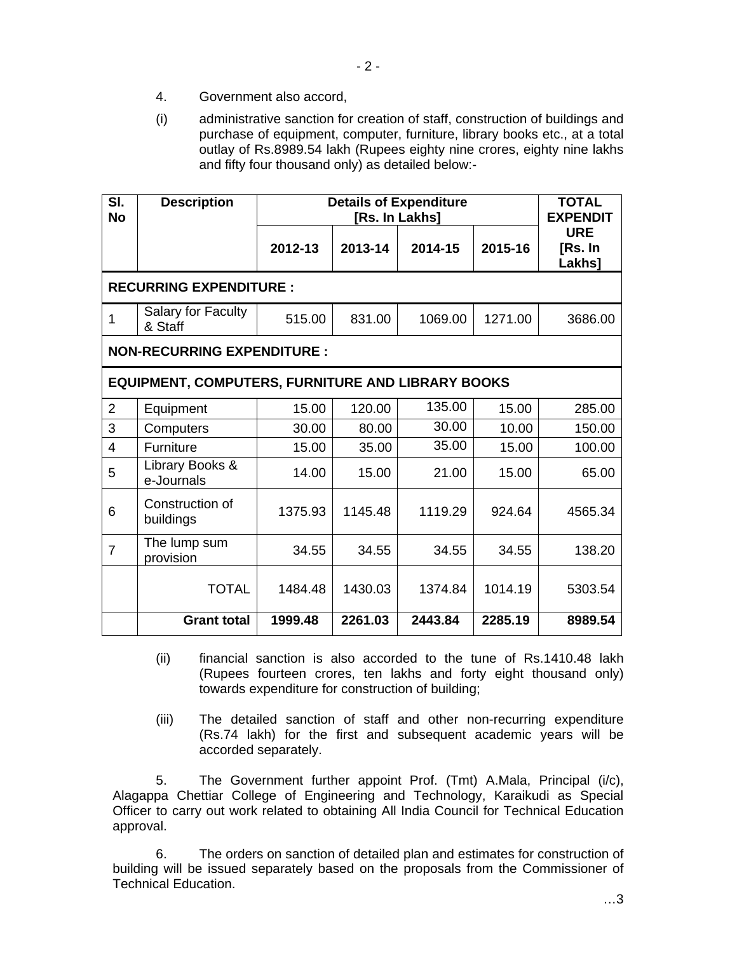- 4. Government also accord,
- (i) administrative sanction for creation of staff, construction of buildings and purchase of equipment, computer, furniture, library books etc., at a total outlay of Rs.8989.54 lakh (Rupees eighty nine crores, eighty nine lakhs and fifty four thousand only) as detailed below:-

| SI.<br><b>No</b>                                         | <b>Description</b>            | <b>Details of Expenditure</b><br>[Rs. In Lakhs] |         |         |         | <b>TOTAL</b><br><b>EXPENDIT</b>        |  |  |  |
|----------------------------------------------------------|-------------------------------|-------------------------------------------------|---------|---------|---------|----------------------------------------|--|--|--|
|                                                          |                               | 2012-13                                         | 2013-14 | 2014-15 | 2015-16 | <b>URE</b><br>[Rs. In<br><b>Lakhs]</b> |  |  |  |
| <b>RECURRING EXPENDITURE:</b>                            |                               |                                                 |         |         |         |                                        |  |  |  |
| 1                                                        | Salary for Faculty<br>& Staff | 515.00                                          | 831.00  | 1069.00 | 1271.00 | 3686.00                                |  |  |  |
| <b>NON-RECURRING EXPENDITURE:</b>                        |                               |                                                 |         |         |         |                                        |  |  |  |
| <b>EQUIPMENT, COMPUTERS, FURNITURE AND LIBRARY BOOKS</b> |                               |                                                 |         |         |         |                                        |  |  |  |
| $\overline{2}$                                           | Equipment                     | 15.00                                           | 120.00  | 135.00  | 15.00   | 285.00                                 |  |  |  |
| 3                                                        | Computers                     | 30.00                                           | 80.00   | 30.00   | 10.00   | 150.00                                 |  |  |  |
| $\overline{4}$                                           | Furniture                     | 15.00                                           | 35.00   | 35.00   | 15.00   | 100.00                                 |  |  |  |
| 5                                                        | Library Books &<br>e-Journals | 14.00                                           | 15.00   | 21.00   | 15.00   | 65.00                                  |  |  |  |
| 6                                                        | Construction of<br>buildings  | 1375.93                                         | 1145.48 | 1119.29 | 924.64  | 4565.34                                |  |  |  |
| $\overline{7}$                                           | The lump sum<br>provision     | 34.55                                           | 34.55   | 34.55   | 34.55   | 138.20                                 |  |  |  |
|                                                          | <b>TOTAL</b>                  | 1484.48                                         | 1430.03 | 1374.84 | 1014.19 | 5303.54                                |  |  |  |
|                                                          | <b>Grant total</b>            | 1999.48                                         | 2261.03 | 2443.84 | 2285.19 | 8989.54                                |  |  |  |

- (ii) financial sanction is also accorded to the tune of Rs.1410.48 lakh (Rupees fourteen crores, ten lakhs and forty eight thousand only) towards expenditure for construction of building;
- (iii) The detailed sanction of staff and other non-recurring expenditure (Rs.74 lakh) for the first and subsequent academic years will be accorded separately.

5. The Government further appoint Prof. (Tmt) A.Mala, Principal (i/c), Alagappa Chettiar College of Engineering and Technology, Karaikudi as Special Officer to carry out work related to obtaining All India Council for Technical Education approval.

 6. The orders on sanction of detailed plan and estimates for construction of building will be issued separately based on the proposals from the Commissioner of Technical Education.